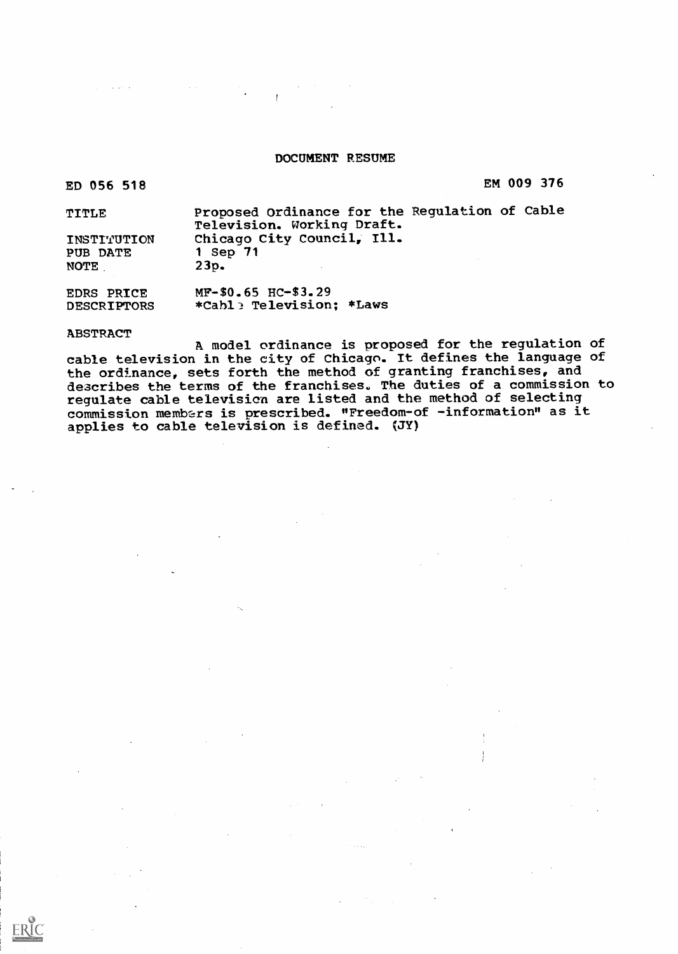### DOCUMENT RESUME

### ED 056 518

EM 009 376

| <b>TITLE</b> | Proposed Ordinance for the Regulation of Cable |
|--------------|------------------------------------------------|
|              | Television. Working Draft.                     |
| INSTITUTION  | Chicago City Council, Ill.                     |
| PUB DATE     | 1 Sep 71                                       |
| <b>NOTE</b>  | 23p.                                           |
|              |                                                |

EDRS PRICE DESCRIPTORS MF-\$0.65 HC-\$3.29 \*Cahl? Television; \*Laws

### **ABSTRACT**

 $\sum_{\mathcal{F}_{\text{Full Text}}}\overbrace{\mathop{\sum}_{\mathit{Predictive}}}\limits_{\mathit{Proofed by EHC}}$ 

A model ordinance is proposed for the regulation of cable television in the city of Chicago. It defines the language of the ordinance, sets forth the method of granting franchises, and describes the terms of the franchises. The duties of a commission to regulate cable televisien are listed and the method of selecting commission members is prescribed. "Freedom-of -information" as it applies to cable television is defined. (JY)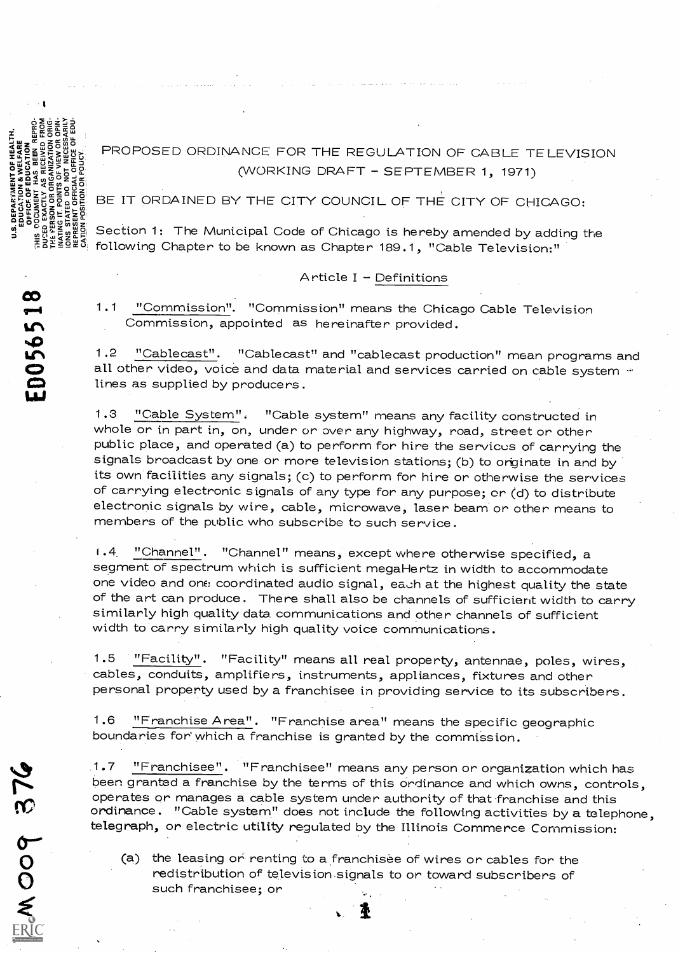cnU- -" U 4WZ woOw MO2MWO w4OZ>p.0N>:, MUIPLIIM<L 11..<030NZZE= PROPOSED ORDINANCE FOR THE REGULATION OF CABLE TE LEVISION MENT<br>ON & M<br>DR EDU & R<br>F HAS R<br>CRANS OF CHAL<br>ORGAN DR PRINCIPLY<br>UCIAL CORP (WORKING DRAFT - SEPTEMBER 1, 1971)

ENSIBING THE CITY ORDAINED BY THE CITY COUNCIL OF THE CITY OF CHICAGO: CLUM LLI cn w=11.

"000 MOMORE" COOL:<br>"00 OOM COOL" COOL:<br>"00 OOM COOL: COOL: EREES Following Chapter to be known as Chapter 189.1, "Cable Television:" Section 1: The Municipal Code of Chicago is hereby amended by adding the

### Article  $I -$  Definitions

1.1 "Comrnission". "Commission" means the Chicago Cable Television

1.1 "Commission". "Commission" means the Chica<br>Commission, appointed as hereinafter provided.<br>1.2 "Cablecast". "Cablecast" and "cablecast produ<br>all other video, voice and data material and services dines as supplied by pro 44) 1.2 "Cablecast". "Cablecast" and "cablecast production" mean programs and all other video, voice and data material and services carried on cable system  $\cdot\cdot$ lines as supplied by producers.

> 1.3 "Cable System". "Cable system" means any facility constructed in whole or in part in, on, under or over any highway, road, street or other public place, and operated (a) to perform for hire the servicus of carrying the signals broadcast by one or more television stations; (b) to originate in and by its own facilities any signals; (c) to perform for hire or otherwise the services<br>of carrying electronic signals of any type for any purpose; or (d) to distribute electronic signals by wire, cable, microwave, laser beam or other means to members of the public who subscribe to such service.

.4, "Channel". "Channel" means, except where otherwise specified, a segment of spectrum which is sufficient megaHertz in width to accommodate one video and one coordinated audio signal, each at the highest quality the state of the art can produce. There shall also be channels of sufficient width to carry similarly high quality data. communications and other channels of sufficient width to carry similarly high quality voice communications.

1.5 "Facility". "Facility" means all real property, antennae, poles, wires, cables, conduits, amplifiers, instruments, appliances, fixtures and other personal property used by a franchisee in providing service to its subscribers.

1.6 "Franchise Area". "Franchise area" means the specific geographic boundaries for which a franchise is granted by the commission.

.1.7 <u>"Franchisee"</u>. "Franchisee" means any person or organization which has been granted a franchise by the terms of this ordinance and which owns, controls, operates or manages a cable system under authority of that franchise and this<br>ordinance. "Cable system" does not include the following activities by a telephone,<br>telegraph, or electric utility regulated by the Illinois Com

the leasing or renting to a franchisee of wires or cables for the (a) redistribution of television.signals to or toward subscribers of such franchisee; or

ł

<u>ය</u>

 $\boldsymbol{\mathcal{D}}$ 

**PONDOC** 

 $\dot{\mathbf{z}}$   $\mathbf{z}$   $\mathbf{z}$   $\mathbf{z}$   $\mathbf{z}$   $\mathbf{z}$   $\mathbf{z}$   $\mathbf{z}$   $\mathbf{z}$ clmet when we have a set of the set of the set of the set of the set of the set of the set of the set of the s<br>Expediance of the set of the set of the set of the set of the set of the set of the set of the set of the set<br>S

 $-$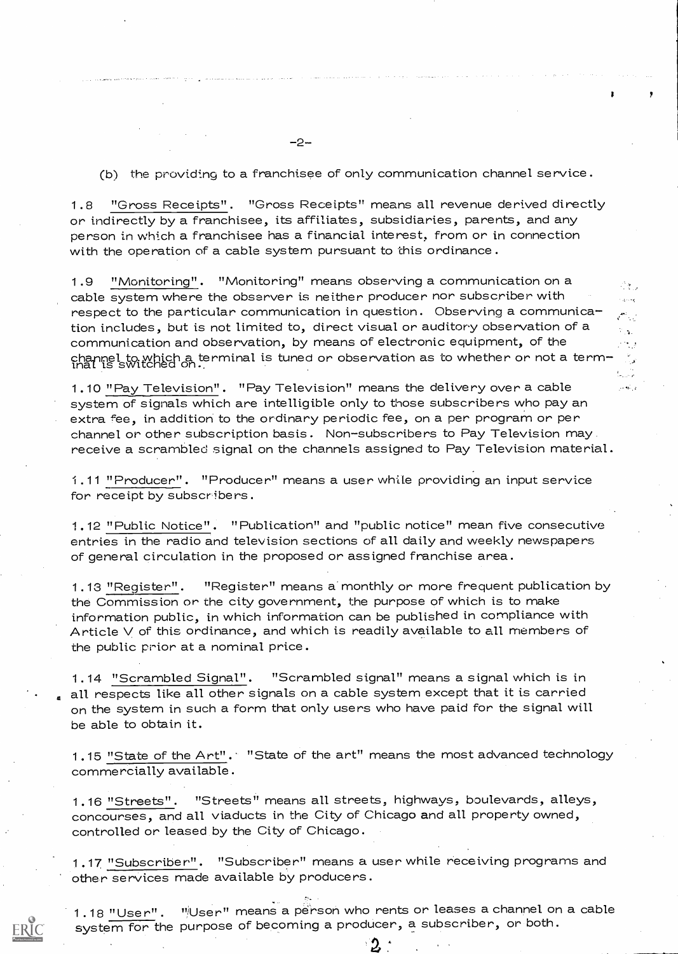(b) the providing to a franchisee of only communication channel service.

-2-

1.8 "Gross Receipts". "Gross Receipts" means all revenue derived directly or indirectly by a franchisee, its affiliates, subsidiaries, parents, and any person in which a franchisee has a financial interest, from or in connection with the operation of a cable system pursuant to this ordinance.

1.9 <u>"Monitoring"</u>. "Monitoring" means observing a communication on a state of the cable system where the observer is neither producer nor subscriber with respect to the particular communication in question. Observing a communication includes, but is not limited to, direct visual or auditory observation of a  $\mathbb{R}^n$ communication and observation, by means of electronic equipment, of the channel to.which a terminal is tuned or observation as to whether or not a term-<br>inal is switched on.

1.10 "Pay Television". "Pay Television" means the delivery over a cable system of signals which are intelligible only to those subscribers who pay an extra fee, in addition to the ordinary periodic fee, on a per program or per channel or other subscription basis. Non-subscribers to Pay Television may receive a scrambled signal on the channels assigned to Pay Television material.

1.11 "Producer". "Producer" means a user white providing an input service for receipt by subscribers.

1.12 "Public Notice". "Publication" and "public notice" mean five consecutive entries in the radio and television sections of all daily and weekly newspapers of general circulation in the proposed or assigned franchise area.

1.13 "Register". "Register" means a:monthly or more frequent publication by the Commission or the city government, the purpose of which is to make information public, in which information can be published in compliance with Article V of this ordinance, and which is readily available to all members of the public prior at a nominal price.

1.14 "Scrambled Signal". "Scrambled signal" means a signal which is in all respects like all other signals on a cable system except that it is carried on the system in such a form that only users who have paid for the signal will be able to obtain it.

1.15 "State of the Art". "State of the art" means the most advanced technology commercially available.

1.16 "Streets". "Streets" means all streets, highways, boulevards, alleys, concourses, and all viaducts in the City of Chicago and all property owned, controlled or leased by the City of Chicago.

1.17 "Subscriber". "Subscriber" means a user while receiving programs and other services made available by producers.



1.18 "User". "User" means a person who rents or leases a channel on a cable system for the purpose of becoming a producer, a subscriber, or both.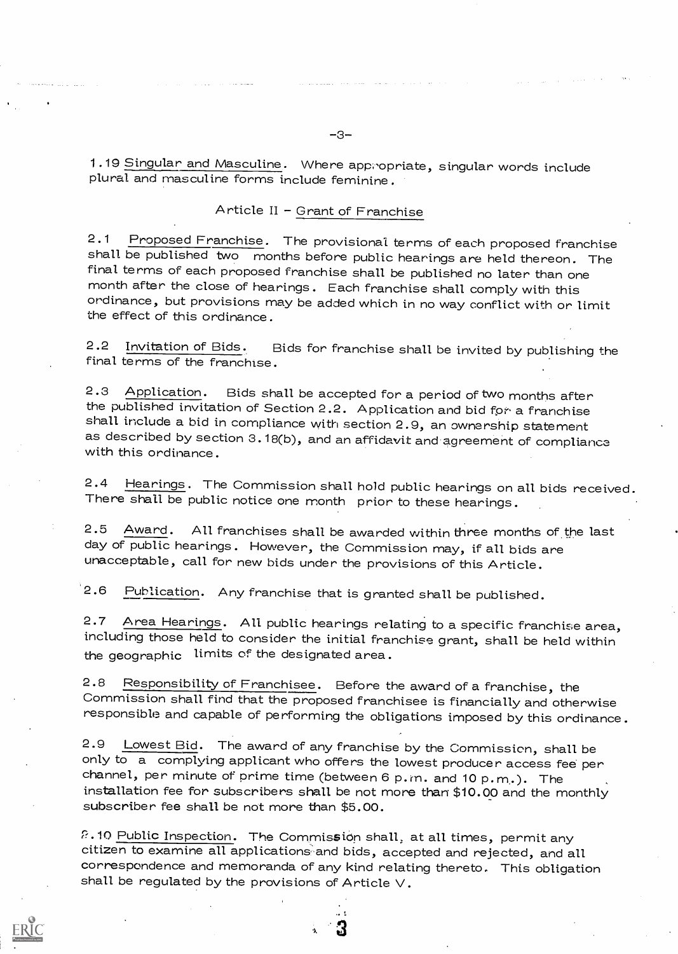1.19 Singular and Masculine. Where appropriate, singular words include plural and masculine forms include feminine.

## Article II - Grant of Franchise

2.1 Proposed Franchise. The provisional terms of each proposed franchise<br>shall be published two months before public hearings are held thereon. The final terms of each proposed franchise shall be published no later than one ordinance, but provisions may be added which in no way conflict with or limit the effect of this ordinance.

2.2 Invitation of Bids. Bids for franchise shall be invited by publishing the final terms of the franchise.

2.3 Application. Bids shall be accepted for a period of two months after the published invitation of Section 2.2. Application and bid for a franchise<br>shall include a bid in compliance with section 2.9, an ownership statement as described by section 3.18(b), and an affidavit and agreement of compliance with this ordinance.

2.4 Hearings. The Commission shall hold public hearings on all bids received. There shall be public notice one month prior to these hearings.

2.5 Award. All franchises shall be awarded within three months of the last day of public hearings. However, the Commission may, if all bids are unacceptable, call for new bids under the provisions of this Article.

2.6 Publication. Any franchise that is granted shall be published.

2.7 Area Hearings. All public hearings relating to a specific franchise area, including those held to consider the initial franchise grant, shall be held within the geographic limits of the designated area.

2.8 Responsibility of Franchisee. Before the award of a franchise, the Commission shall find that the proposed franchisee is financially and otherwise responsible and capable of performing the obligations imposed by this ordinance.

2.9 Lowest Bid. The award of any franchise by the Commission, shall be only to a complying applicant who offers the lowest producer access fee per channel, per minute of prime time (between 6 p.m. and 10 p.m..). The installation fee for subscribers shall be not more than \$10.00 and the monthly subscriber fee shall be not more than \$5.00.

2.10 Public Inspection. The Commission shall, at all times, permit any citizen to examine all applications and bids, accepted and rejected, and all<br>correspondence and memoranda of any kind relating thereto. This obligation shall be regulated by the provisions of Article V.

> $\sim$  1 3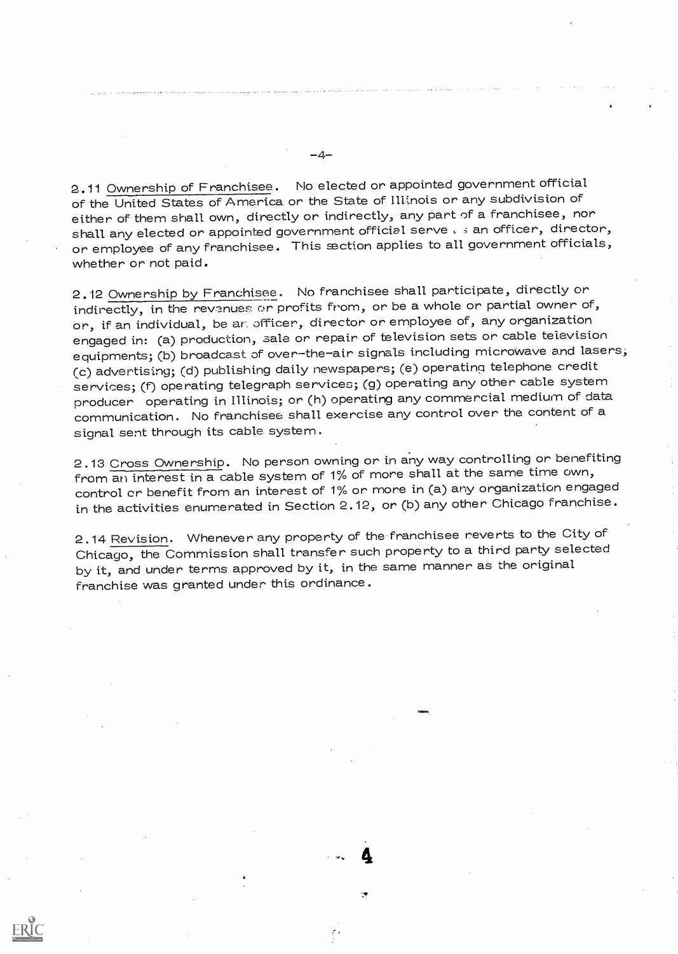2.11 Ownership of Franchisee. No elected or appointed government official of the United States of America or the State of Illinois or any subdivision of either of them shall own, directly or indirectly, any part of a franchisee, nor shall any elected or appointed government official serve  $\epsilon$  ; an officer, director, or employee of any franchisee. This section applies to all government officials, whether or not paid.

2.12 Ownership by Franchisee. No franchisee shall participate, directly or indirectly, in the revenues or profits from, or be a whole or partial owner of, or, if an individual, be ar. officer, director or employee of, any organization engaged in: (a) production, sale or repair of television sets or cable television equipments; (b) broadcast of over-the-air signals including microwave and lasers; (c) advertising; (d) publishing daily newspapers; (e) operating telephone credit services; (f) operating telegraph services; (g) operating any other cable system producer operating in Illinois; or (h) operating any commercial medium of data communication. No franchisee shall exercise any control over the content of a signal sent through its cable system.

2 .13 Cross Ownership. No person owning or in any way controlling or benefiting from an interest in a cable system of 1% of more shall at the same time own, control cr benefit from an interest of 1% or more in (a) any organization engaged in the activities enumerated in Section 2.12, or (b) any other Chicago franchise.

2.14 Revision. Whenever any property of the franchisee reverts to the City of Chicago, the Commission shall transfer such property to a third party selected by it, and under terms approved by it, in the same manner as the original franchise was granted under this ordinance.

4

**پ**:

 $\sum_{i=1}^{n}$ 

 $ER_{\text{G}}^{\text{O}}$ 

-4-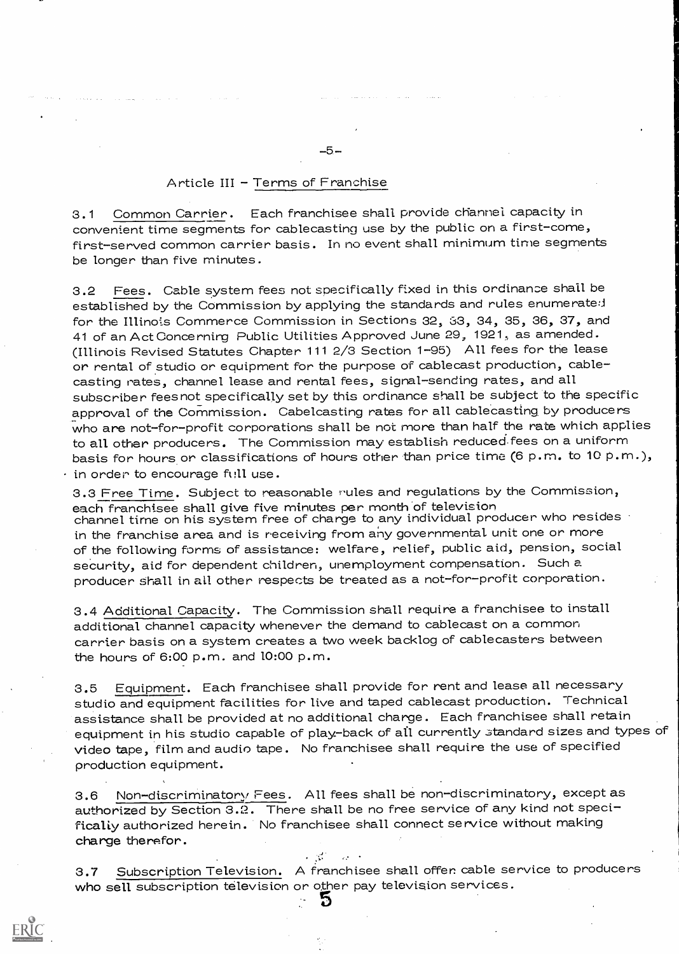# Article III - Terms of Franchise

3.1 Common Carrier. Each franchisee shall provide channel capacity in convenient time segments for cablecasting use by the public on a first-come, first-served common carrier basis. In no event shall minimum time segments be longer than five minutes.

3.2 Fees. Cable system fees not specifically fixed in this ordinance shall be established by the Commission by applying the standards and rules enumerated for the Illinois Commerce Commission in Sections 32, 33, 34, 35, 36, 37, and 41 of an Act Concerning Public Utilities Approved June 29, 1921, as amended. (Illinois Revised Statutes Chapter 111 2/3 Section 1-95) All fees for the lease or rental of studio or equipment for the purpose of cablecast production, cablecasting rates, channel lease and rental fees, signal-sending rates, and all subscriber fees not specifically set by this ordinance shall be subject to the specific approval of the Commission. Cabelcasting rates for all cablecasting by producers who are not-for-profit corporations shall be not more than half the rate which applies to all other producers. The Commission may establish reduced fees on a uniform basis for hours or classifications of hours other than price time (6 p.m. to 10 p.m.),  $\cdot$  in order to encourage full use.

3.3 Free Time. Subject to reasonable rules and regulations by the Commission, each franchisee shall give five minutes per month of television channel time on his system free of charge to any individual producer who resides in the franchise area and is receiving from any governmental unit one or more of the following forms of assistance: welfare, relief, public aid, pension, social security, aid for dependent children, unemployment compensation. Such a producer Shall in all other respects be treated as a not-for-profit corporation.

3.4 Additional Capacity. The Commission shall require a franchisee to install additional channel capacity whenever the demand to cablecast on a common carrier basis on a system creates a two week backlog of cablecasters between the hours of 6:00 p.m. and 10:00 p.m.

3.5 Equipment. Each franchisee shall provide for rent and lease all necessary studio and equipment facilities for live and taped cablecast production. Technical assistance shall be provided at no additional charge. Each franchisee shall retain equipment in his studio capable of play-back of all currently standard sizes and types of video tape, film and audio tape. No franchisee shall require the use of specified production equipment.

3.6 Non-discriminatory Fees. All fees shall be non-discriminatory, except as authorized by Section 3.2. There shall be no free service of any kind not specifically authorized herein. No franchisee shall connect service without making charge therefor.

3.7 Subscription Television. A franchisee shall offer cable service to producers who sell subscription television or other pay television services.

G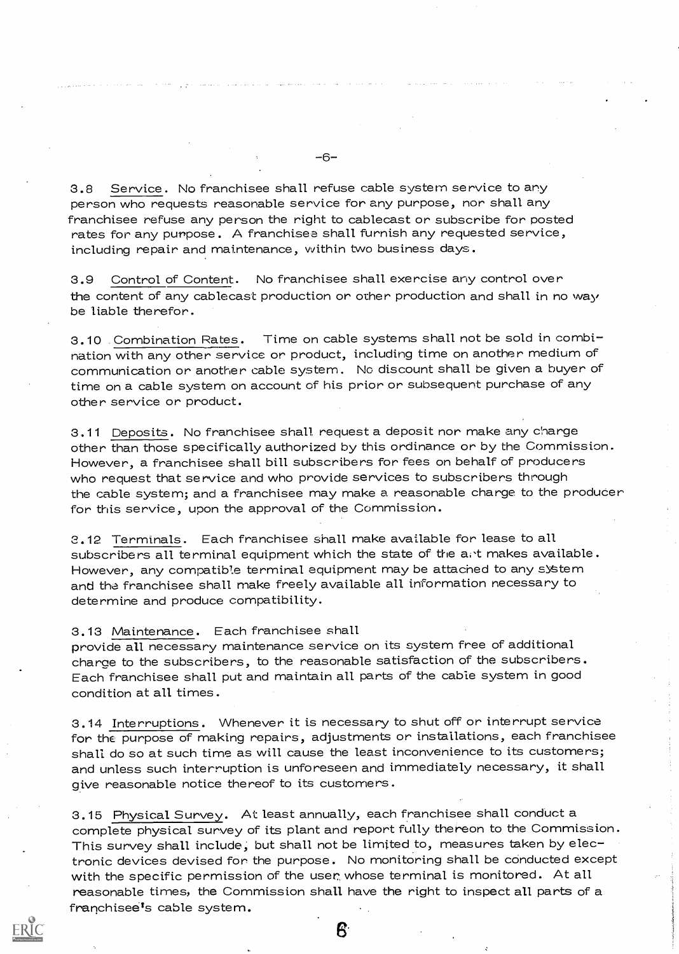3.8 Service. No franchisee shall refuse cable system service to ary person who requests reasonable service for any purpose, nor shall any franchisee refuse any person the right to cablecast or subscribe for posted rates for any purpose. A franchisee shall furnish any requested service, including repair and maintenance, vvithin two business days.

 $-6-$ 

3.9 Control of Content. No franchisee shall exercise any control over the content of any cablecast production or other production and shall in no way be liable therefor.

3.10 Combination Rates. Time on cable systems shall not be sold in combination with any other service or product, including time on another medium of communication or another cable system. No discount shall be given a buyer of time on a cable system on account of his prior or subsequent purchase of any other service or product.

3.11 Deposits. No franchisee shall request a deposit nor make any charge other than those specifically authorized by this ordinance or by the Commission. However, a franchisee shall bill subscribers for fees on behalf of producers who request that service and who provide services to subscribers through the cable system; and a franchisee may make a reasonable charge to the producer for this service, upon the approval of the Commission.

3.12 Terminals. Each franchisee shall make available for lease to all subscribers all terminal equipment which the state of the ant makes available. However, any compatible terminal equipment may be attached to any system and the franchisee shall make freely available all information necessary to determine and produce compatibility.

3.13 Maintenance. Each franchisee shall

ERIC

provide all necessary maintenance service on its system free of additional charge to the subscribers, to the reasonable satisfaction of the subscribers. Each franchisee shall put and maintain all parts of the cable system in good condition at all times.

3.14 Interruptions. Whenever it is necessary to shut off or interrupt service for the purpose of making repairs, adjustments or installations, each franchisee shall do so at such time as will cause the least inconvenience to its customers; and unless such interruption is unforeseen and immediately necessary, it shall give reasonable notice thereof to its customers.

3.15 Physical Survey. At least annually, each franchisee shall conduct a complete physical survey of its plant and report fully thereon to the Commission. This survey shall include, but shall not be limited to, measures taken by electronic devices devised for the purpose. No monitoring shall be conducted except with the specific permission of the user, whose terminal is monitored. At all reasonable times, the Commission shall have the right to inspect all parts of a franchisee's cable system.

 $\boldsymbol{\beta}$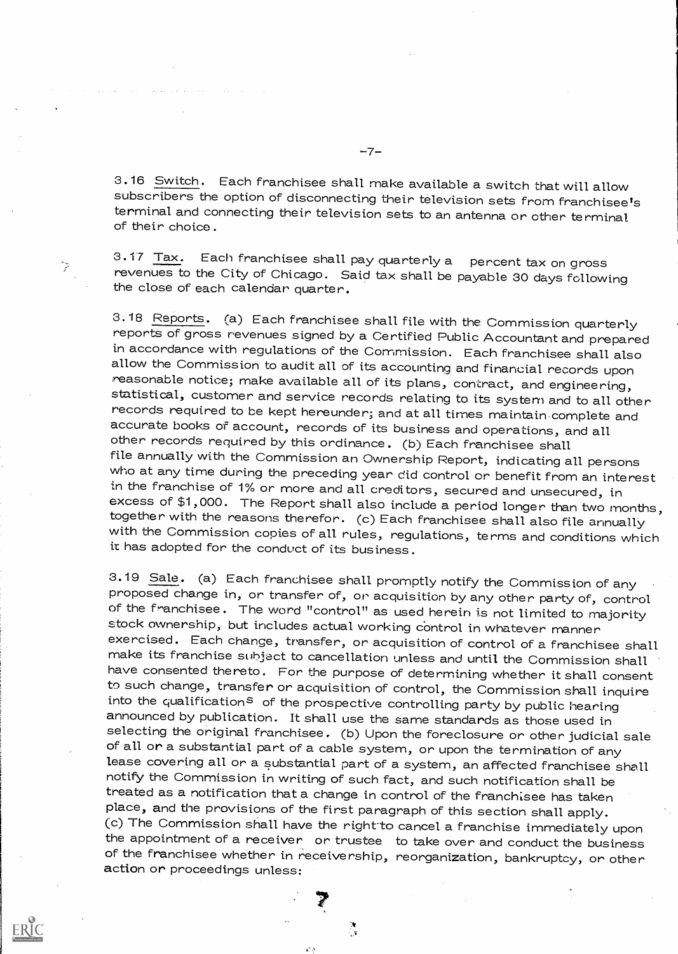3.16 Switch. Each franchisee shall make available a switch that will allow terminal and connecting their television sets to an antenna or other terminal of their choice.

3.17 Tax. Each franchisee shall pay quarterly a percent tax on gross revenues to the City of Chicago. Said tax shall be payable 30 days following the close of each calendar quarter.

 $\mathcal{F}$ 

ERIC

3.18 Reports. (a) Each franchisee shall file with the Commission quarterly<br>reports of gross revenues signed by a Certified Public Accountant and prepared reports of gross revenues signed by a Certified Public Accountant and prepared<br>in accordance with regulations of the Commission. Each franchisee shall also<br>allow the Commission to audit all of its accounting and financial

3.19 Sale. (a) Each franchisee shall promptly notify the Commission of any proposed change in, or transfer of, or acquisition by any other party of, control of the franchisee. The word "control" as used herein is not limit exercised. Each change, transfer, or acquisition of control of a franchisee shall<br>make its franchise subject to cancellation unless and until the Commission shall<br>have consented thereto. For the purpose of determining whet to such change, transfer or acquisition of control, the Commission shall inquire<br>into the qualification<sup>s</sup> of the prospective controlling party by public hearing<br>announced by publication. It shall use the same standards as lease covering all or a substantial part of a system, an affected franchisee shall<br>notify the Commission in writing of such fact, and such notification shall be treated as a notification that a change in control of the franchisee has taken<br>place, and the provisions of the first paragraph of this section shall apply.<br>(c) The Commission shall have the right to cancel a franchise imm of the franchisee whether in receivership, reorganization, bankruptcy, or other action or proceedings unless: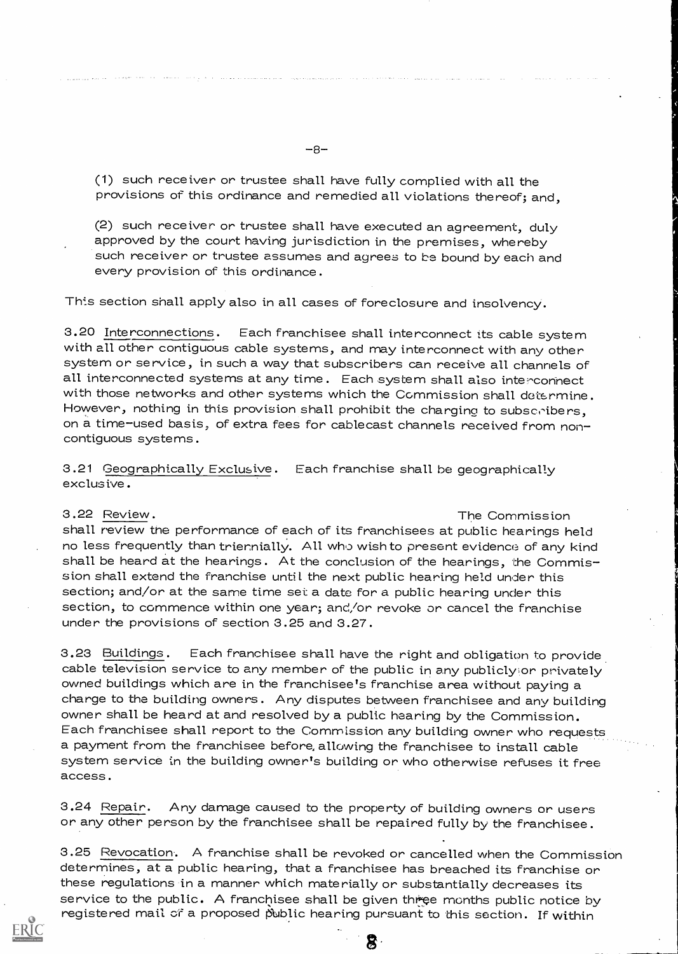(1) such receiver or trustee shall have fully complied with all the provisions of this ordinance and remedied all violations thereof; and,

(2) such receiver or trustee shall have executed an agreement, duly approved by the court having jurisdiction in the premises, whereby such receiver or trustee assumes and agrees to be bound by each and every provision of this ordinance.

This section shall apply also in all cases of foreclosure and insolvency.

3.20 Interconnections. Each franchisee shall interconnect its cable system with all other contiguous cable systems, and may interconnect with any other<br>system or service, in such a way that subscribers can receive all channels of all interconnected systems at any time. Each system shall also interconnect with those networks and other systems which the Commission shall detsrmine. However, nothing in this provision shall prohibit the charging to subscribers, on a time-used basis, of extra fees for cablecast channels received from noncontiguous systems.

3.21 Geographically Exclusive. Each franchise shall be geographically exclusive.

**ERIC** 

3.22 Review. The Commission

shall review the performance of each of its franchisees at public hearings held no less frequently than triernially. All who wish to present evidence of any kind shall be heard at the hearings. At the conclusion of the hearings, the Commission shall extend the franchise until the next public hearing held under this section; and/or at the same time set a date for a public hearing under this section, to commence within one year; and/or revoke or cancel the franchise under the provisions of section 3.25 and 3.27.

3.23 Buildings. Each franchisee shall have the right and obligation to provide cable television service to any member of the public in any publicly or privately<br>owned buildings which are in the franchisee's franchise area without paying a charge to the building owners. Any disputes between franchisee and any building<br>owner shall be heard at and resolved by a public hearing by the Commission. Each franchisee shall report to the Commission any building owner who requests a payment from the franchisee before, allowing the franchisee to install cable system service in the building owner's building or who otherwise refuses it free access.

3.24 Repair. Any damage caused to the property of building owners or users or any other person by the franchisee shall be repaired fully by the franchisee.

3.25 Revocation.. A franchise shall be revoked or cancelled when the Commission determines, at a public hearing, that a franchisee has breached its franchise or these regulations in a manner which materially or substantially decreases its service to the public. A franchisee shall be given three months public notice by registered mail of a proposed public hearing pursuant to this section. If within

 $\mathbf{g}$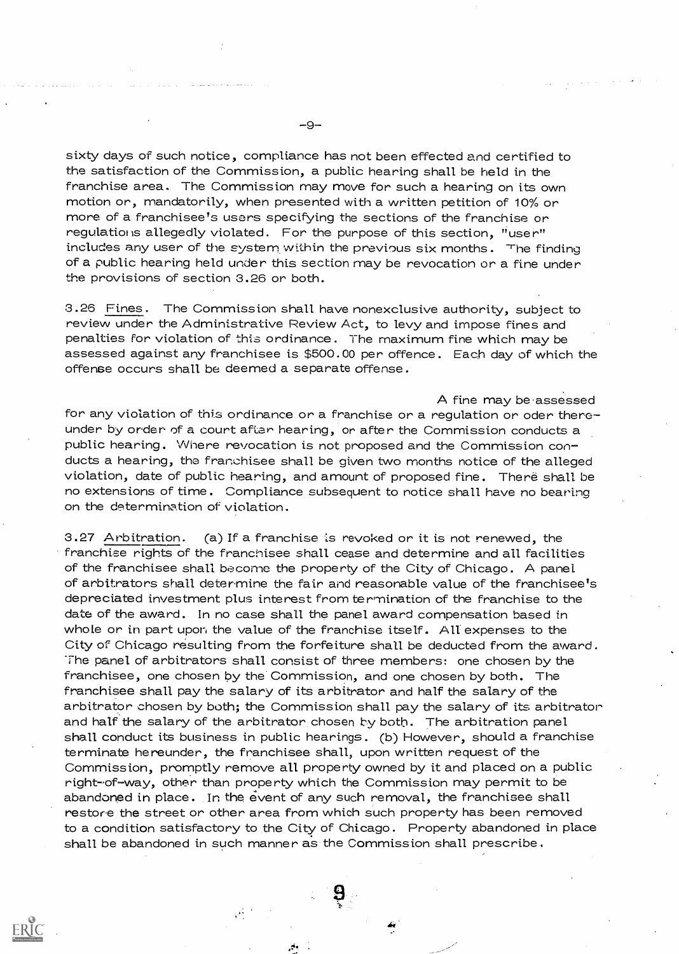sixty days of such notice, compliance has not been effected and certified to the satisfaction of the Commission, a public hearing shall be held in the franchise area. The Commission may move for such a hearing on its own motion or, mandatorily, when presented with a written petition of 10% or more of a franchisee's users specifying the sections of the franchise or regulations allegedly violated. For the purpose of this section, "user" includes any user of the system within the previous six months. The finding of a public hearing held under this section may be revocation or a fine under the provisions of section 3.26 or both.

3.26 Fines. The Commission shall have nonexclusive authority, subject to review under the Administrative Review Act, to levy and impose fines and penalties For violation of this ordinance. The maximum fine which may be assessed against any franchisee is \$500.00 per offence. Each day of which the offense occurs shall be deemed a separate offense.

A fine may be assessed for any violation of this ordinance or a franchise or a regulation or oder there-<br>under by order of a court after hearing, or after the Commission conducts a public hearing. Where revocation is not proposed and the Commission conducts a hearing, the franchisee shall be given two months notice of the alleged violation, date of public hearing, and amount of proposed fine. There shall be no extensions of time. Compliance subsequent to notice shall have no bearing on the determination of violation.

 $3.27$  Arbitration. (a) If a franchise is revoked or it is not renewed, the franchise rights of the franchisee shall cease and determine and all facilities of the franchisee shall become the property of the City of Chicago. A panel of arbitrators shall determine the fair and reasonable value of the franchisee's depreciated investment plus interest from termination of the franchise to the date of the award. In no case shall the panel award compensation based in whole or in part upon the value of the franchise itself. All expenses to the City of Chicago resulting from the forfeiture shall be deducted from the award. The panel of arbitrators shall consist of three members: one chosen by the franchisee, one chosen by the Commission, and one chosen by both. The franchisee shall pay the salary of its arbitrator and half the salary of the arbitrator chosen by both; the Commission shall pay the salary of its arbitrator<br>and half the salary of the arbitrator chosen by both. The arbitration panel shall conduct its business in public hearings. (b) However, should a franchise terminate hereunder, the franchisee shall, upon written request of the Commission, promptly remove all property owned by it and placed on a public right-of-way, other than property which the Commission may permit to be abandoned in place. In the event of any such removal, the franchisee shall restore the street or other area from which such property has been removed to a condition satisfactory to the City of Chicago. Property abandoned in place shall be abandoned in such manner as the Commission shall prescribe.

ERIC

-9--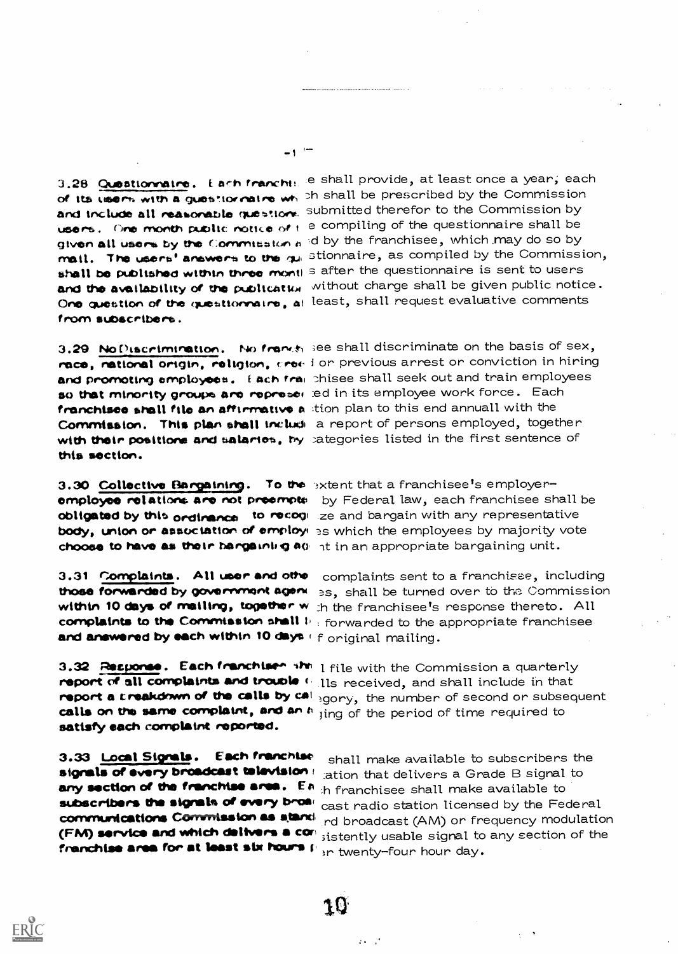from subscribers.

3.28 Questionnaire. Lach franchi: e shall provide, at least once a year, each of its were with a guestion raine when the shall be prescribed by the Commission and include all reasonable questions. Submitted therefor to the Commission by  $\frac{1}{2}$  . One month public notice of  $t$  e compiling of the questionnaire shall be given all users by the Commission and by the franchisee, which may do so by mail. The users' answers to the questionnaire, as compiled by the Commission,  $s$  and the published within three month  $s$  after the questionnaire is sent to users and the availability of the publication without charge shall be given public notice. One question of the questionnaire, at least, shall request evaluative comments

3.29 NoDiscrimination. No franct, see shall discriminate on the basis of sex, mace, mational origin, religion, cred for previous arrest or conviction in hiring **and promoting employees.** I ach fra chisee shall seek out and train employees so that minority groups are represed led in its employee work force. Each franchisee shall file an affirmative a tion plan to this end annuall with the Commission. This plan shall include a report of persons employed, together with their positions and salaries, by eategories listed in the first sentence of this section.

and answered by each within 10 day% f original mailing.

report of all complaints and trouole t. report a t reakdown of the calls by cat calls on the same complaint, and an a  $\frac{1}{100}$  of the period of time required to satisfy each complaint reported.

3.33 Local Signals. Each franchist signals of every broadcast talavision : any section of the franchise area. En communications Commission as stand (FM) service and which delivers  $\epsilon$ franchise area for at least six hours I,

3.30 Collective Bargaining. To the extent that a franchisee's employeromployee rolations are not preempts by Federal law, each franchisee shall be obligated by this ordinance to recogetize and bargain with any representative body, union or association of employ! as which the employees by majority vote choose to have as their bargainlig ag it in an appropriate bargaining unit.

3.31 Complaints. All user and othe complaints sent to a franchisee, including **those forwarded by government agem**  $_{\text{3S, Shall}}$  be turned over to the Commission within 10 days of mailing, together we the franchisee's response thereto. All complaints to the Commission shall  $\psi$ , forwarded to the appropriate franchisee

3.32 Response. Each franchises in 1 file with the Commission a quarterly lls received, and shall include in that gory, the number of second or subsequent

subscribers the signals of every brow cast radio station licensed by the Federal shall make available to subscribers the \_ation that delivers a Grade B signal to .11 franchisee shall make available to rd broadcast (AM) or frequency modulation sistently usable signal to any section of the lr twenty-four hour day.

 $-1$  t-

 $10$ 

 $\mathcal{L} \leftarrow \mathcal{L}^{(0)}$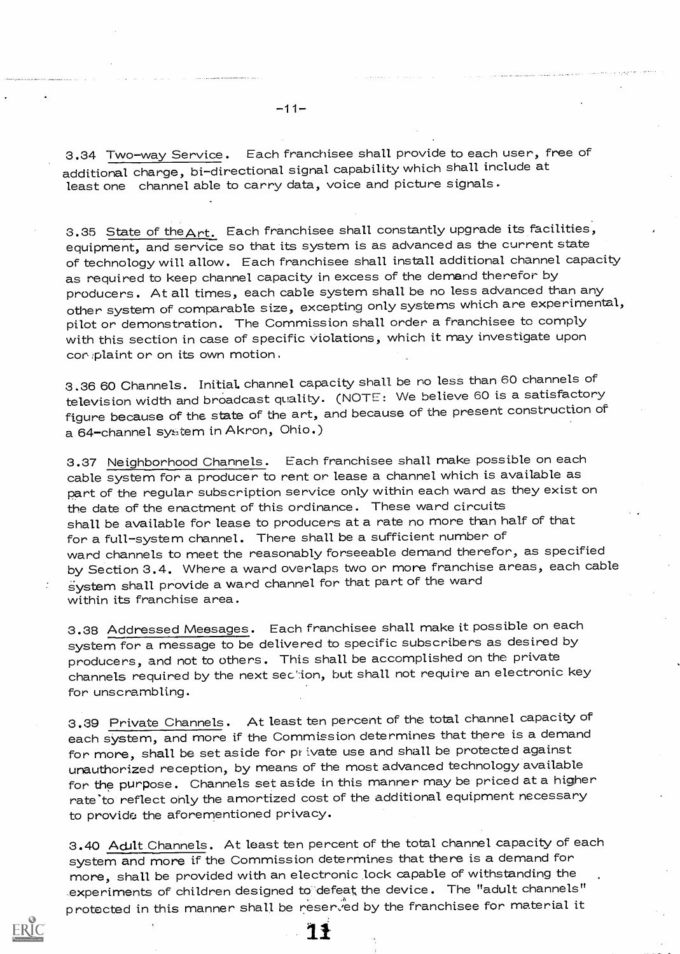3.34 Two-way Service. Each franchisee shall provide to each user, free of additional charge, bi-directional signal capability which shall include at least one channel able to carry data, voice and picture signals.

3.35 State of the  $Art.$  Each franchisee shall constantly upgrade its facilities, equipment, and service so that its system is as advanced as the current state of technology will allow. Each franchisee shall install additional channel capacity as required to keep channel capacity in excess of the demand therefor by producers. At all times, each cable system shall be no less advanced than any other system of comparable size, excepting only systems which are experimental, pilot or demonstration. The Commission shall order a franchisee to comply with this section in case of specific violations, which it may investigate upon cor:plaint or on its own motion,

3.36 60 Channels. Initial, channel capacity shall be no less than 60 channels of television width and broadcast quality. (NOTE: We believe 60 is a satisfactory figure because of the state of the art, and because of the present construction of a 64-channel system in Akron, Ohio.)

3.37 Neighborhood Channels. Each franchisee shall make possible on each cable system for a producer to rent or lease a channel which is available as part of the regular subscription service only within each ward as they exist on the date of the enactment of this ordinance. These ward circuits shall be available for lease to producers at a rate no more than half of that for a full-system channel. There shall be a sufficient number of ward channels to meet the reasonably forseeable demand therefor, as specified by Section 3.4. Where a ward overlaps two or more franchise areas, each cable system shall provide a ward channel for that part of the ward within its franchise area.

3.38 Addressed Messages. Each franchisee shall make it possible on each system for a message to be delivered to specific subscribers as desired by producers, and not to others. This shall be accomplished on the private channels required by the next section, but shall not require an electronic key for unscrambling.

3.39 Private Channels. At least ten percent of the total channel capacity of each system, and more if the Commission determines that there is a demand for more, shall be set aside for pr ivate use and shall be protected against unauthorized reception, by means of the most advanced technology available for the purpose. Channels set aside in this manner may be priced at a higher rate'to reflect only the amortized cost of the additional equipment necessary to provide the aforementioned privacy.

3.40 Adult Channels. At least ten percent of the total channel capacity of each system and more if the Commission determines that there is a demand for more, shall be provided with an electronic lock capable of withstanding the experiments of children designed to 'defeat the device. The "adult channels" protected in this manner shall be reser, ed by the franchisee for material it

11

ERIC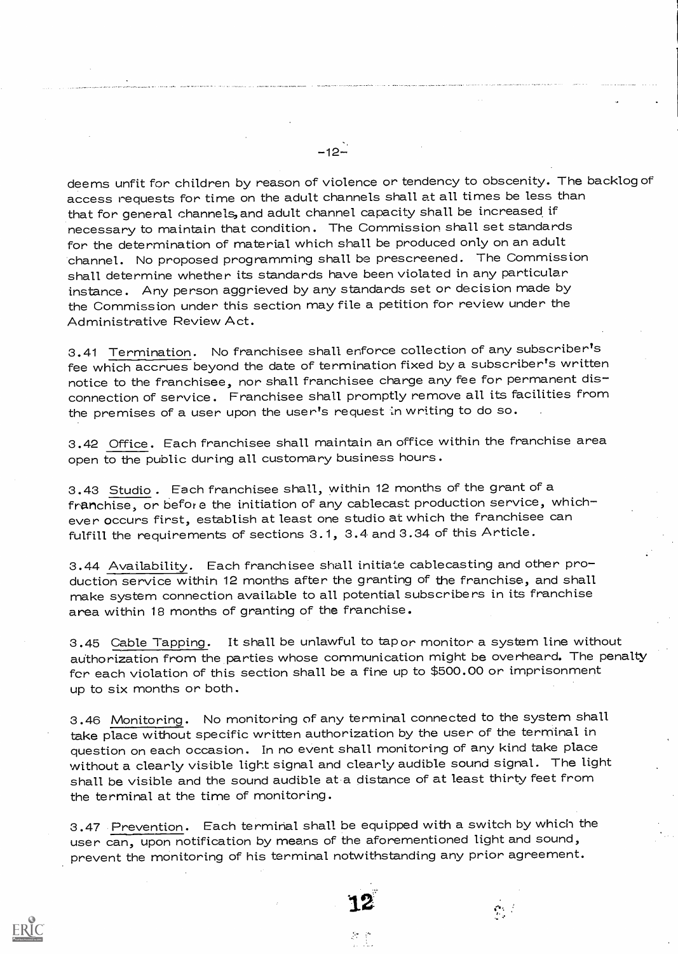deems unfit for children by reason of violence or tendency to obscenity. The backlog of access requests for time on the adult channels shall at all times be less than that for general channels, and adult channel capacity shall be increased, if necessary to maintain that condition. The Commission shall set standards for the determination of material which shall be produced only on an adult channel. No proposed programming shall be prescreened. The Commission shall determine whether its standards have been violated in any particular instance. Any person aggrieved by any standards set or decision made by the Commission under this section may file a petition for review under the Administrative Review Act.

 $-12-$ 

3.41 Termination. No franchisee shall enforce collection of any subscriber's fee which accrues beyond the date of termination fixed by a subscriber's written notice to the franchisee, nor shall franchisee charge any fee for permanent disconnection of service. Franchisee shall promptly remove all its facilities from the premises of a user upon the user's request in writing to do so.

3.42 Office. Each franchisee shall maintain an office within the franchise area open to the public during all customary business hours.

3.43 Studio . Each franchisee shall, within <sup>12</sup> months of the grant of a franchise, or befor e the initiation of any cablecast production service, whichever occurs first, establish at least one studio at which the franchisee can fulfill the requirements of sections 3.1, 3.4 and 3.34 of this Article.

3.44 Availability. Each franchisee shall initiate cablecasting and other production service within <sup>12</sup> months after the granting of the franchise, and shall make system connection available to all potential subscribers in its franchise area within 18 months of granting of the franchise.

3.45 Cable Tapping. It shall be unlawful to tap or monitor a system line without authorization from the parties whose communication might be overheard. The penalty fcr each violation of this section shall be a fine up to \$500.00 or imprisonment up to six months or both.

3.46 Monitoring. No monitoring of any terminal connected to the system shall take place without specific written authorization by the user of the terminal in question on each occasion. In no event shall monitoring of any kind take place without a clearly visible light signal and clearly audible sound signal. The light shall be visible and the sound audible at a distance of at least thirty feet from the terminal at the time of monitoring.

3.47 Prevention. Each terminal shall be equipped with a switch by which the user can, upon notification by means of the aforementioned light and sound, prevent the monitoring of his terminal notwithstanding any prior agreement.



 $\frac{1}{2}$ 

 $\mathcal{C}^{(1)}_{\mathcal{C}^{(2)}}$ 

ERIC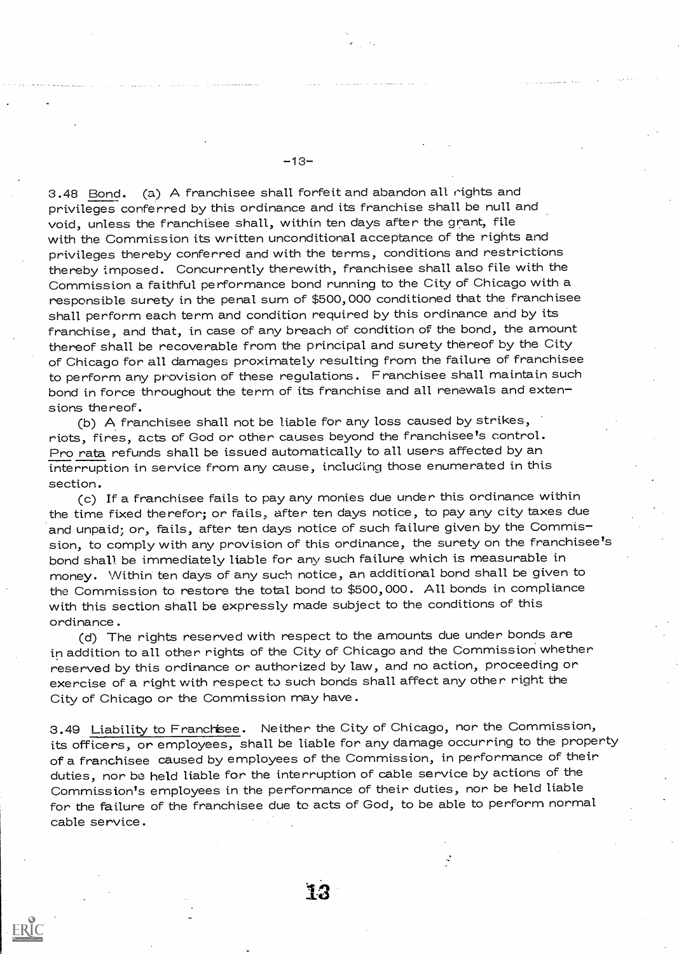3.48 Bond. (a) A franchisee shall forfeit and abandon all rights and privileges conferred by this ordinance and its franchise shall be null and void, unless the franchisee shall, within ten days after the grant, file with the Commission its written unconditional acceptance of the rights and privileges thereby conferred and with the terms, conditions and restrictions thereby imposed. Concurrently therewith, franchisee shall also file with the Commission a faithful performance bond running to the City of Chicago with a responsible surety in the penal sum of \$500,000 conditioned that the franchisee shall perform each term and condition required by this ordinance and by its franchise, and that, in case of any breach of condition of the bond, the amount thereof shall be recoverable from the principal and surety thereof by the City of Chicago for all damages proximately resulting from the failure of franchisee to perform any provision of these regulations. Franchisee shall maintain such bond in force throughout the term of its franchise and all renewals and extensions thereof.

-13-

(b) A franchisee shall not be liable for any loss caused by strikes, riots, fires, acts of God or other causes beyond the franchisee's control. Pro rata refunds shall be issued automatically to all users affected by an interruption in service from any cause, including those enumerated in this section.

(c) If a franchisee fails to pay any monies due under this ordinance within the time fixed therefor; or fails, after ten days notice, to pay any city taxes due and unpaid; or, fails, after ten days notice of such failure given by the Commission, to comply with any provision of this ordinance, the surety on the franchisee's bond shall be immediately liable for any such failure which is measurable in money. Within ten days of any such notice, an additional bond shall be given to the Commission to restore the total bond to \$500,000. All bonds in compliance with this section shall be expressly made subject to the conditions of this ordinance.

(d) The rights reserved with respect to the amounts due under bonds are in addition to all other rights of the City of Chicago and the Commission whether reserved by this ordinance or authorized by law, and no action, proceeding or exercise of a right with respect to such bonds shall affect any other right the City of Chicago or the Commission may have.

3.49 Liability to Franclisee. Neither the City of Chicago, nor the Commission, its officers, or employees, shall be liable for any damage occurring to the property of a franchisee caused by employees of the Commission, in performance of their duties, nor be held liable for the interruption of cable service by actions of the Commission's employees in the performance of their duties, nor be held liable for the failure of the franchisee due to acts of God, to be able to perform normal cable service.

'Is

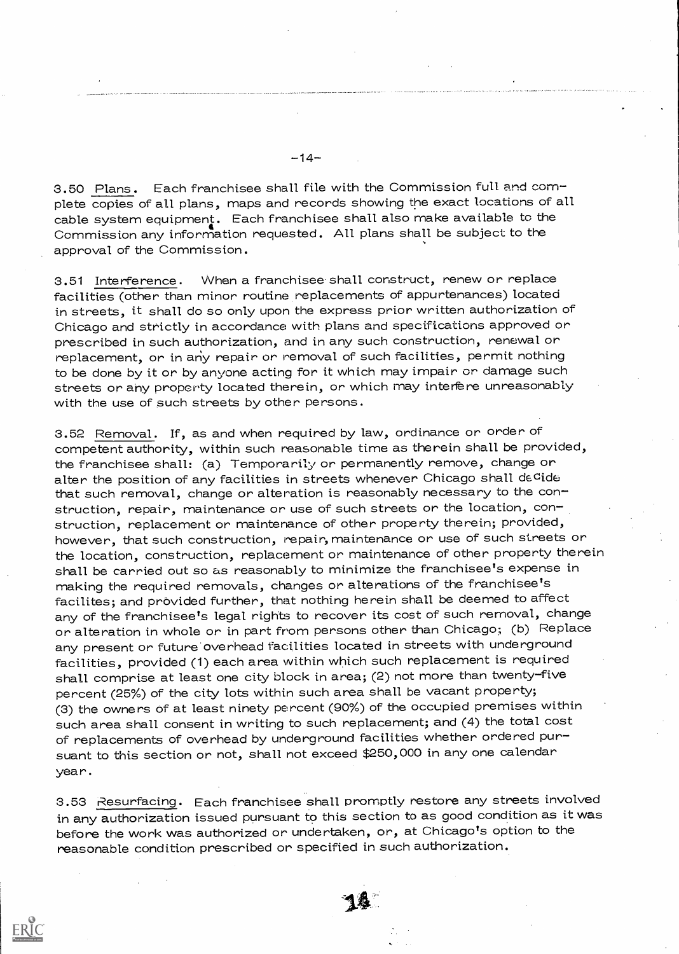3.50 Plans. Each franchisee shall file with the Commission full and complete copies of all plans, maps and records showing the exact locations of all cable system equipment. Each franchisee shall also make available to the Commission any information requested. All plans shall be subject to the approval of the Commission.

3.51 Interference. When a franchisee shall construct, renew or replace facilities (other than minor routine replacements of appurtenances) located in streets, it shall do so only upon the express prior written authorization of Chicago and strictly in accordance with plans and specifications approved or prescribed in such authorization, and in any such construction, renewal or replacement, or in any repair or removal of such facilities, permit nothing to be done by it or by anyone acting for it which may impair or damage such streets or any property located therein, or which may interfere unreasonably with the use of such streets by other persons.

3.52 Removal. If, as and when required by law, ordinance or order of competent authority, within such reasonable time as therein shall be provided, the franchisee shall: (a) Temporarily or permanently remove, change or alter the position of any facilities in streets whenever Chicago shall decide that such removal, change or alteration is reasonably necessary to the construction, repair, maintenance or use of such streets or the location, construction, replacement or maintenance of other property therein; provided, however, that such construction, repair, maintenance or use of such streets or the location, construction, replacement or maintenance of other property therein shall be carried out so as reasonably to minimize the franchisee's expense in making the required removals, changes or alterations of the franchisee's facilites; and provided further, that nothing herein shall be deemed to affect any of the franchisee's legal rights to recover its cost of such removal, change or alteration in whole or in part from persons other than Chicago; (b) Replace any present or future overhead facilities located in streets with underground facilities, provided (1) each area within which such replacement is required shall comprise at least one city block in area; (2) not more than twenty-five percent (25%) of the city lots within such area shall be vacant property; (3) the owners of at least ninety percent (90%) of the occupied premises within such area shall consent in writing to such replacement; and (4) the total cost of replacements of overhead by underground facilities whether ordered pursuant to this section or not, shall not exceed \$250,000 in any one calendar year.

3.53 Resurfacing. Each franchisee shall promptly restore any streets involved in any authorization issued pursuant to this section to as good condition as it was before the work was authorized or undertaken, or, at Chicago's option to the reasonable condition prescribed or specified in such authorization.

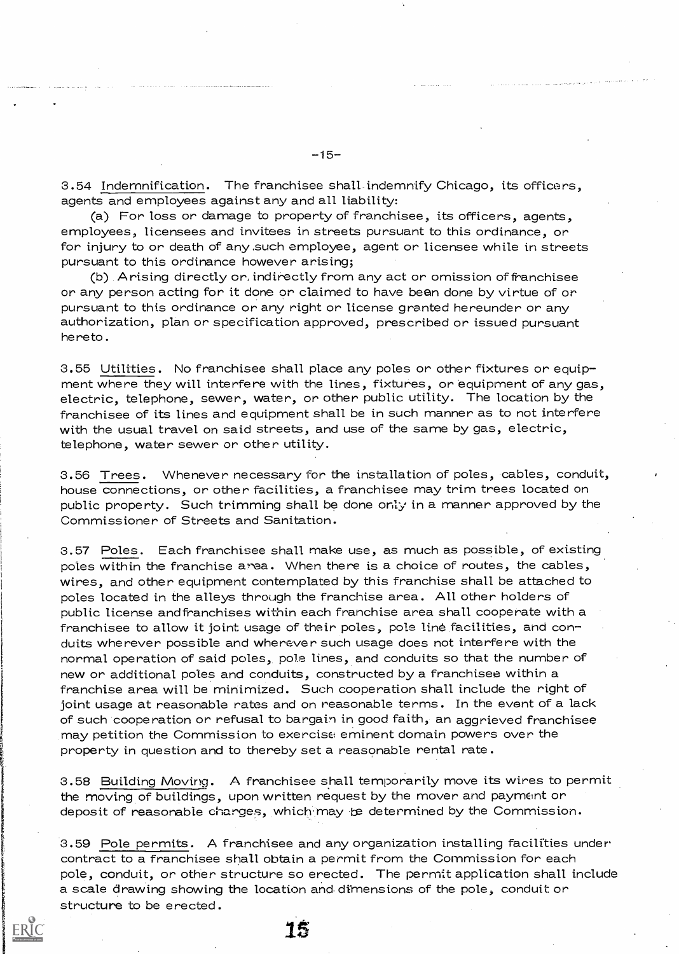3.54 Indemnification. The franchisee shall indemnify Chicago, its officers, agents and employees against any and all liability:

(a) For loss or damage to property of franchisee, its officers, agents, employees, licensees and invitees in streets pursuant to this ordinance, or for injury to or death of any such employee, agent or licensee while in streets pursuant to this ordinance however arising;

(b) Arising directly or, indirectly from any act or omission of franchisee or any person acting for it done or claimed to have been done by virtue of or pursuant to this ordinance or any right or license granted hereunder or any authorization, plan or specification approved, prescribed or issued pursuant hereto.

3.55 Utilities. No franchisee shall place any poles or other fixtures or equipment where they will interfere with the lines, fixtures, or equipment of any gas, electric, telephone, sewer, water, or other public utility. The location by the franchisee of its lines and equipment shall be in such manner as to not interfere with the usual travel on said streets, and use of the same by gas, electric, telephone, water sewer or other utility.

3.56 Trees. Whenever necessary for the installation of poles, cables, conduit, house connections, or other facilities, a franchisee may trim trees located on public property. Such trimming shall be done only in a manner approved by the Commissioner of Streets and Sanitation.

3.57 Poles. Each franchisee shall make use, as much as possible, of existing poles within the franchise a?'ea. When there is a choice of routes, the cables, wires, and other equipment contemplated by this franchise shall be attached to poles located in the alleys through the franchise area. All other holders of public license andfranchises within each franchise area shall cooperate with a franchisee to allow it joint usage of their poles, pole line facilities, and conduits wherever possible and wherever such usage does not interfere with the normal operation of said poles; pole lines, and conduits so that the number of new or additional poles and conduits, constructed by a franchisee within a franchise area will be minimized. Such cooperation shall include the right of joint usage at reasonable rates and on reasonable terms. In the event of a lack of such cooperation or refusal to bargain in good faith, an aggrieved franchisee may petition the Commission to exercise eminent domain powers over the property in question and to thereby set a reasonable rental rate.

3.58 Building Moving. A franchisee shall temporarily move its wires to permit the moving of buildings, upon written request by the mover and payment or deposit of reasonable charges, which may be determined by the Commission.

3.59 Pole permits. A franchisee and any organization installing facilities under contract to a franchisee shall obtain a permit from the Commission for each pole, conduit, or other structure so erected. The permit application shall include a scale drawing showing the location and dimensions of the pole, conduit or structure to be erected.

15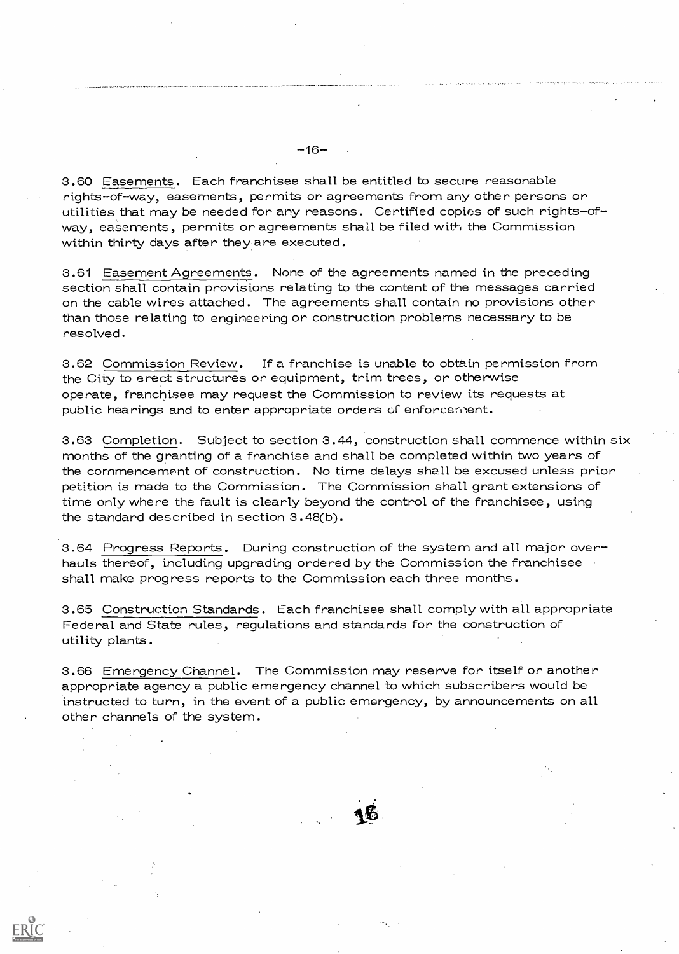3.60 Easements. Each franchisee shall be entitled to secure reasonable rights-of-way, easements, permits or agreements from any other persons or utilities that may be needed for any reasons. Certified copies of such rights-ofway, easements, permits or agreements shall be filed with the Commission within thirty days after they are executed.

,,,

3.61 Easement Agreements. None of the agreements named in the preceding section shall contain provisions relating to the content of the messages carried on the cable wires attached. The agreements shall contain no provisions other than those relating to engineering or construction problems necessary to be resolved.

3.62 Commission Review. If a franchise is unable to obtain permission from the City to erect structures or equipment, trim trees, or otherwise operate, franchisee may request the Commission to review its requests at public hearings and to enter appropriate orders of enforcement.

3.63 Completion. Subject to section 3.44, construction shall commence within six months of the granting of a franchise and shall be completed within two years of the commencement of construction. No time delays shall be excused unless prior petition is made to the Commission. The Commission shall grant extensions of time only where the fault is clearly beyond the control of the franchisee, using the standard described in section 3.48(b).

3.64 Progress Reports. During construction of the system and all major overhauls thereof, including upgrading ordered by the Commission the franchisee  $\cdot$ shall make progress reports to the Commission each three months.

3.65 Construction Standards. Each franchisee shall comply with all appropriate Federal and State rules, regulations and standards for the construction of utility plants.

3.66 Emergency Channel. The Commission may reserve for itself or another appropriate agency a public emergency channel to which subscribers would be instructed to turn, in the event of a public emergency, by announcements on all other channels of the system.

ERIC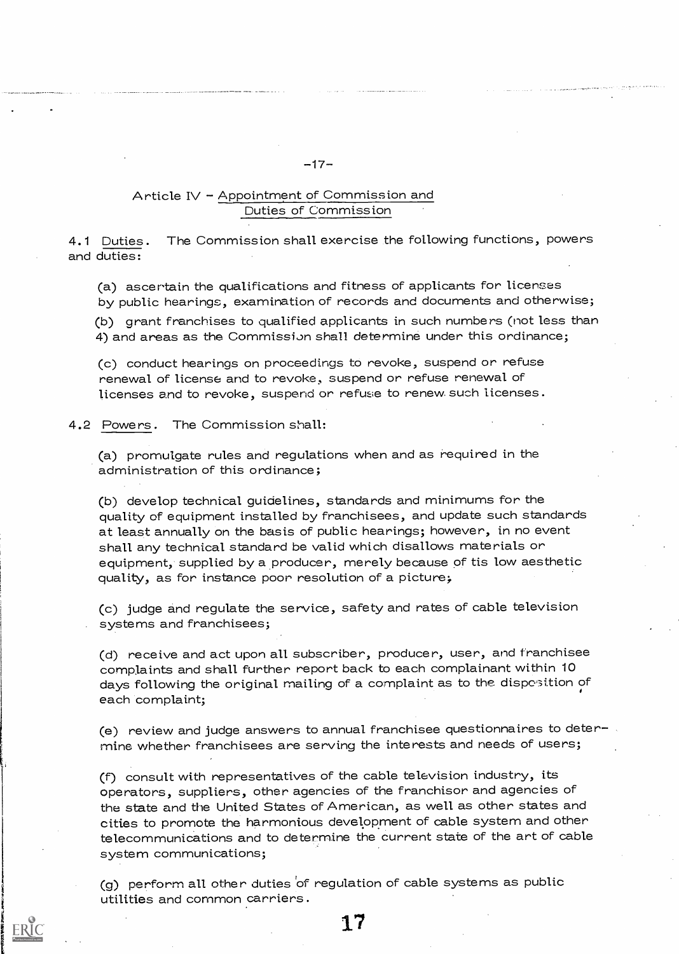# Article IV - Appointment of Commission and Duties of Commission

4.1 Duties. The Commission shall exercise the following functions, powers and duties:

(a) ascertain the qualifications and fitness of applicants for licenses by public hearings, examination of records and documents and otherwise; (b) grant franchises to qualified applicants in such numbers (not less than 4) and areas as the Commission shall determine under this ordinance;

(c) conduct hearings on proceedings to revoke, suspend or refuse renewal of license and to revoke, suspend or refuse renewal of licenses and to revoke, suspend or refuse to renew. such licenses.

4.2 Powers. The Commission shall:

**ERIC** 

(a) promulgate rules and regulations when and as required in the administration of this ordinance;

(b) develop technical guidelines, standards and minimums for the quality of equipment installed by franchisees, and update such standards at least annually on the basis of public hearings; however, in no event shall any technical standard be valid which disallows materials or equipment, supplied by a producer, merely because of tis low aesthetic quality, as for instance poor resolution of a picture;

(c) judge and regulate the service, safety and rates of cable television systems and franchisees;

(d) receive and act upon all subscriber, producer, user, and franchisee complaints and shall further report back to each complainant within 10 days following the original mailing of a complaint as to the dispesition of each complaint;

(e) review and judge answers to annual franchisee questionnaires to determine whether franchisees are serving the interests and needs of users;

(f) consult with representatives of the cable television industry, its operators, suppliers, other agencies of the franchisor and agencies of the state and the United States of American, as well as other states and cities to promote the harmonious development of cable system and other telecommunications and to determine the current state of the art of cable system communications;

(g) perform all other duties of regulation of cable systems as public utilities and common carriers.

17

### $-17-$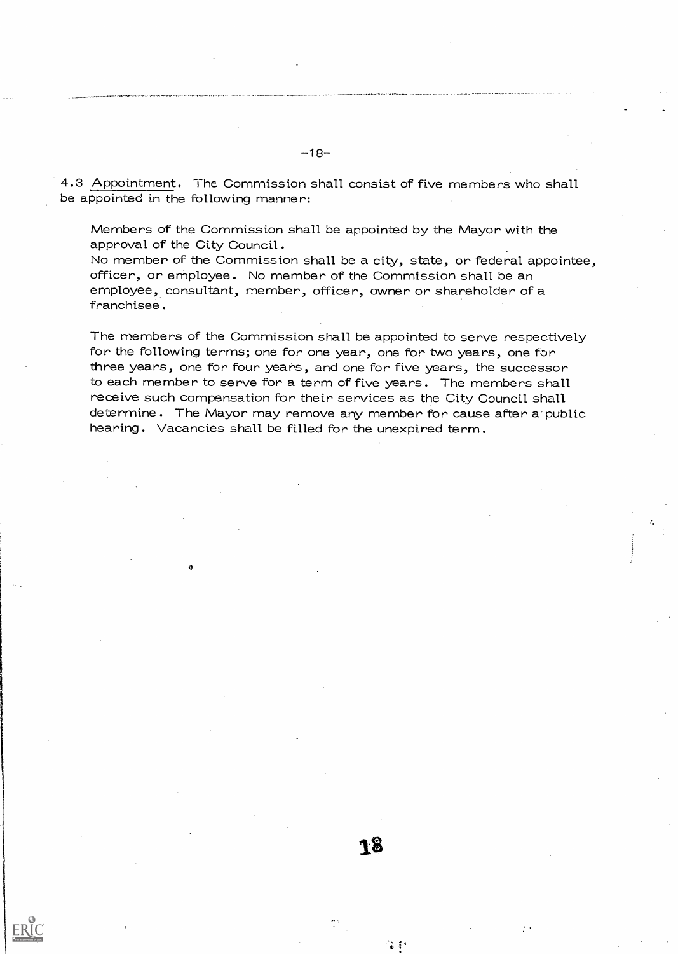4.3 Appointment. The. Commission shall consist of five members who shall be appointed in the following manner:

Members of the Commission shall be apoointed by the Mayor with the approval of the City Council.

No member of the Commission shall be a city, state, or federal appointee, officer, or employee. No member of the Commission shall be an employee, consultant, member, officer, owner or shareholder of a franchisee.

The members of the Commission shall be appointed to serve respectively for the following terms; one for one year, one for two years, one for three years, one for four years, and one for five years, the successor to each member to serve for a term of five years. The members shall receive such compensation for their services as the City Council shall determine. The Mayor may remove any member for cause after a public hearing. Vacancies shall be filled for the unexpired term.

 $\label{eq:3.1} \frac{1}{2} \sum_{i=1}^n \frac{d_i}{2} \, \frac{d_i}{2} \, \frac{d_i}{2}$ 

ERIC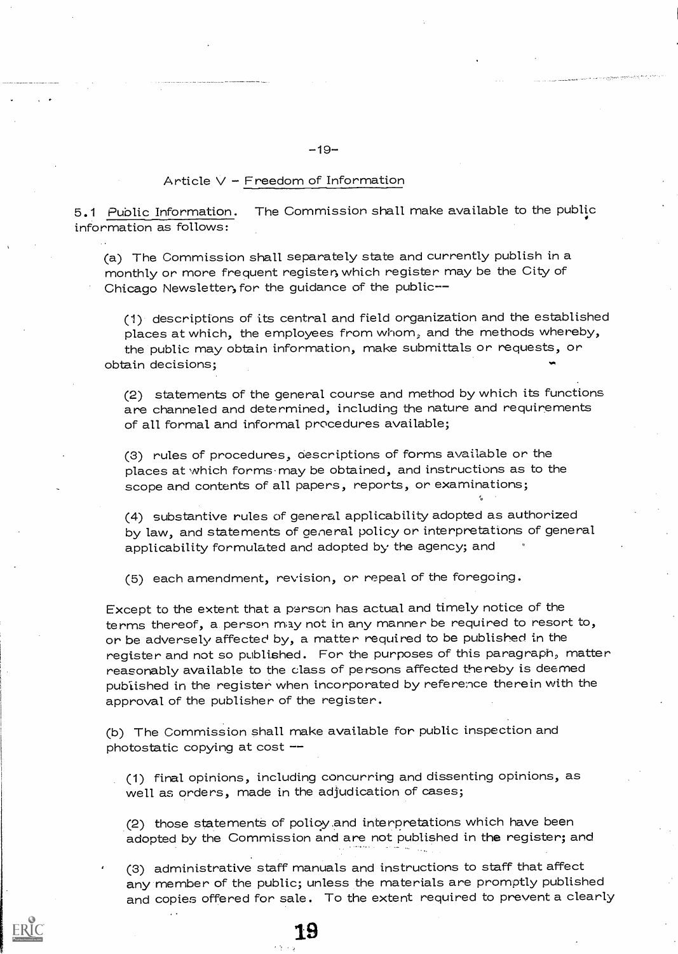### Article  $V$  - Freedom of Information

5.1 Public Information. The Commission shall make available to the public information as follows:

(a) The Commission shall separately state and currently publish in a monthly or more frequent register, which register may be the City of Chicago Newsletter, for the guidance of the public--

(1) descriptions of its central and field organization and the established places at which, the employees from whom, and the methods whereby, the public may obtain information, make submittals or requests, or obtain decisions;

(2) statements of the general course and method by which its functions are channeled and determined, including the nature and requirements of all formal and informal procedures available;

(3) rules of procedures, oescriptions of forms available or the places at which forms may be obtained, and instructions as to the scope and contents of all papers, reports, or examinations;

(4) substantive rules of general applicability adopted as authorized by law, and statements of general policy or interpretations of general applicability formulated and adopted by the agency; and

(5) each amendment, revision, or repeal of the foregoing.

Except to the extent that a person has actual and timely notice of the terms thereof, a person may not in any manner be required to resort to, or be adversely affected by, a matter required to be published in the register and not so published. For the purposes of this paragraph, matter reasonably available to the class of persons affected thereby is deemed pubiished in the register when incorporated by reference therein with the approval of the publisher of the register.

(b) The Commission shall make available for public inspection and photostatic copying at cost --

19

(1) final opinions, including concurring and dissenting opinions, as well as orders, made in the adjudication of cases;

(2) those statements of polioy.and interpretations which have been adopted by the Commission and are not published in the register; and

(3) administrative staff manuals and instructions to staff that affect any member of the public; unless the materials are promptly published and copies offered for sale. To the extent required to prevent a clearly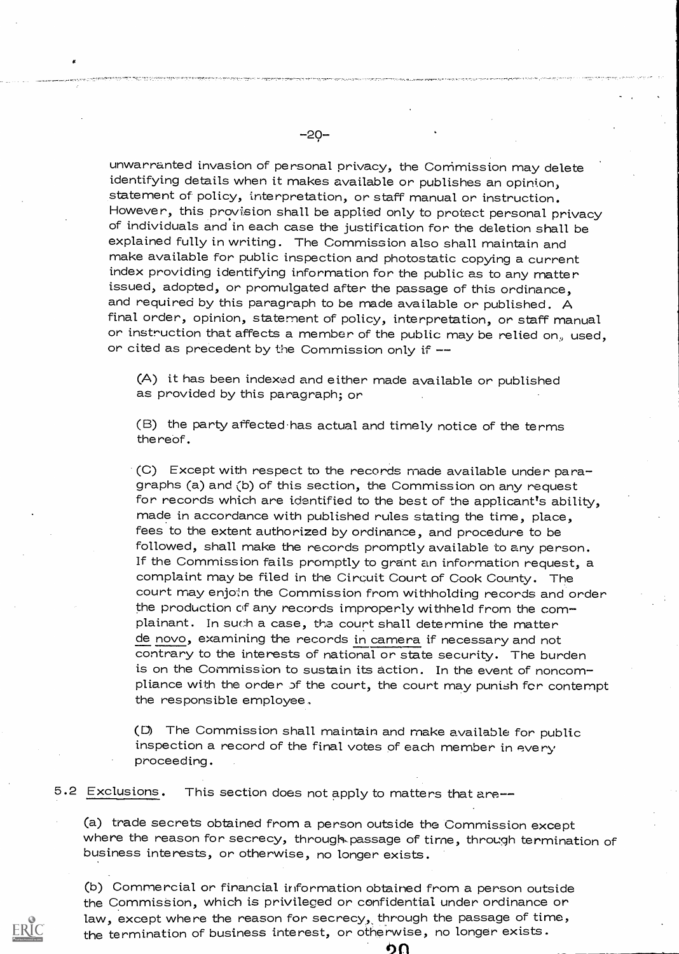unwarranted invasion of personal privacy, the Commission may delete<br>identifying details when it makes available or publishes an opinion, statement of policy, interpretation, or staff manual or instruction. However, this provision shall be applied only to protect personal privacy of individuals and in each case the justification for the deletion shall be explained fully in writing. The Commission also shall maintain and make available for public inspection and photostatic copying a current index providing identifying information for the public as to any matter issued, adopted, or promulgated after the passage of this ordinance,<br>and required by this paragraph to be made available or published. A final order, opinion, statement of policy, interpretation, or staff manual or instruction that affects a member of the public may be relied on, used, or cited as precedent by the Commission only if  $--$ 

(A) it has been indexed and either made available or published as provided by this paragraph; or

(B) the party affected has actual and timely notice of the terms thereof.

(C) Except with respect to the records made available under para- graphs (a) and (b) of this section, the Commission on any request for records which are identified to the best of the applicant's ability, made in accordance with published rules stating the time, place, fees to the extent authorized by ordinance, and procedure to be followed, shall make the records promptly available to any person. If the Commission fails promptly to grant an information request, a complaint may be filed in the Circuit Court of Cook County. The court may enjoin the Commission from withholding records and order the production of any records improperly withheld from the complainant. In such a case, tha court shall determine the matter de novo, examining the records in camera if necessary and not contrary to the interests of national or state security. The burden is on the Commission to sustain its action. In the event of noncompliance with the order of the court, the court may punish for contempt the responsible employee

(D) The Commission shall maintain and make available for public inspection a record of the final votes of each member in ewery proceeding.

5.2 Exclusions. This section does not apply to matters that are--

(a) trade secrets obtained from a person outside the Commission except where the reason for secrecy, through.passage of time, through termination of business interests, or otherwise, no longer exists.

りい

(b) Commercial or financial information obtained from a person outside the Commission, which is privileced or confidential under ordinance or law, except where the reason for secrecy, through the passage of time, the termination of business interest, or otherwise, no longer exists.

-20-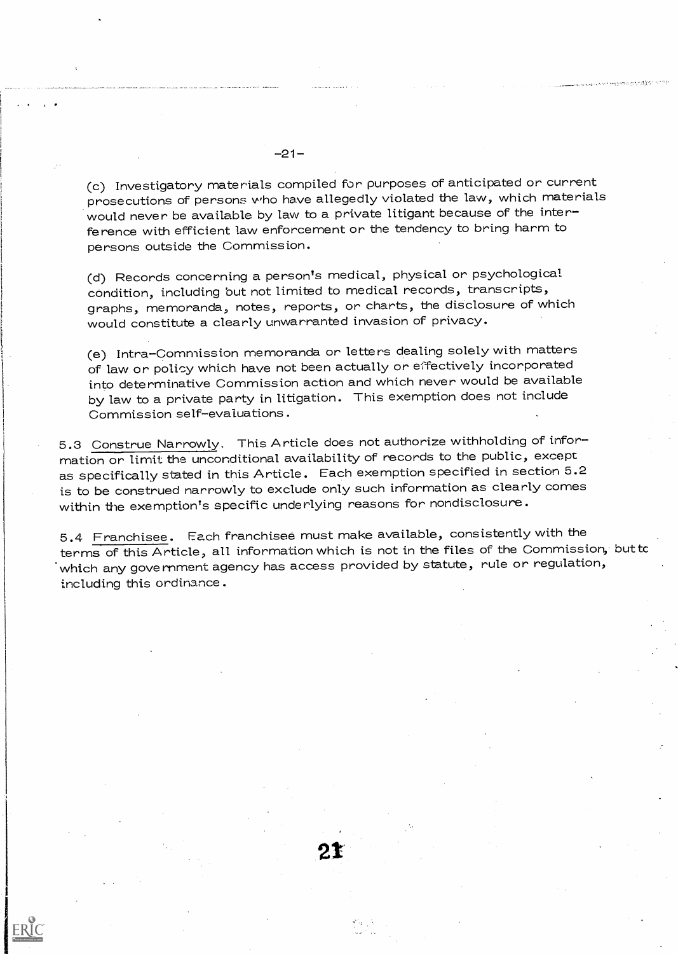(c) Investigatory materials compiled for purposes of anticipated or current prosecutions of persons who have allegedly violated the law, which materials would never be available by law to a private litigant because of the interference with efficient law enforcement or the tendency to bring harm to persons outside the Commission.

(d) Records concerning a person's medical, physical or psychological condition, including but not limited to medical records, transcripts, graphs, memoranda, notes, reports, or charts, the disclosure of which would constitute a clearly unwarranted invasion of privacy.

(e) Intra-Commission memoranda or letters dealing solely with matters of law or policy which have not been actually or effectively incorporated into determinative Commission action and which never would be available by law to a private party in litigation. This exemption does not include Commission self-evaluations.

5.3 Construe Narrowly. This Article does not authorize withholding of information or limit the unconditional availability of records to the public, except as specifically stated in this Article. Each exemption specified in section 5.2 is to be construed narrowly to exclude only such information as clearly comes within the exemption's specific underlying reasons for nondisclosure.

21

ERIC

5.4 Franchisee. Each franchisee must make available, consistently with the terms of this Article, all information which is not in the files of the Commission, but tc which any government agency has access provided by statute, rule or regulation, including this ordinance.

 $-21-$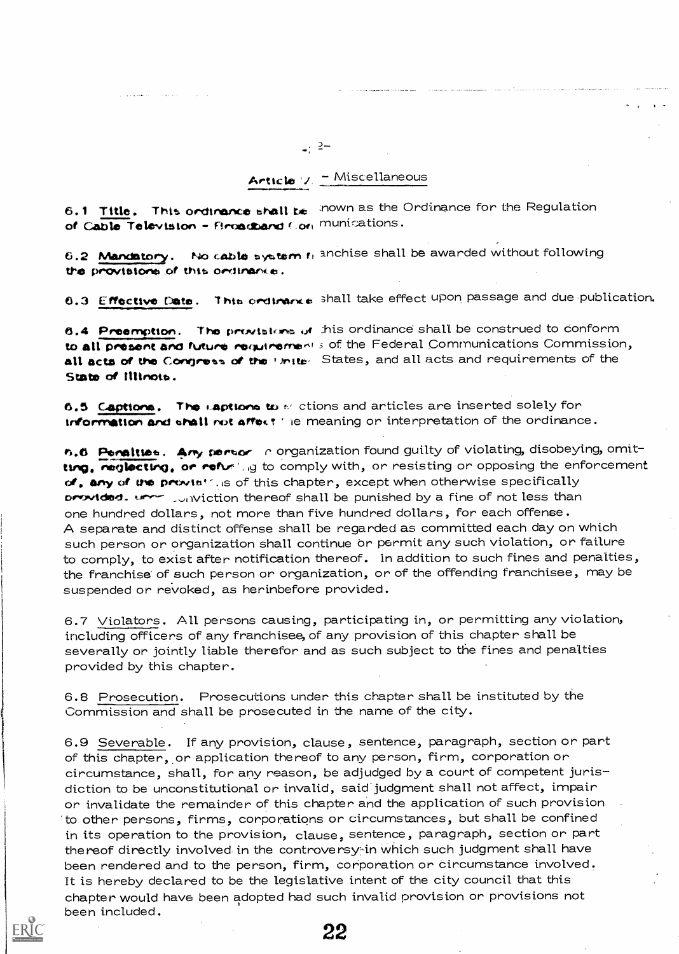### $-12$

.<br>The contract of the contract of the contract of the contract of the contract of the contract of the contract of the contract of the contract of the contract of the contract of the contract of the contract of the contract

**ERIC** 

# Article  $y_1$  - Miscellaneous

6.1 Title. This ordinance shall be shown as the Ordinance for the Regulation of Cable Television - Broadband Con munications.

6.2 Mandatory. No cable system r anchise shall be awarded without following the provisions of this ordinance.

0.3 Effective Date. This ordinarxe shall take effect upon passage and due publication.

6.4 Preemption. The provisions of this ordinance shall be construed to conform to all present and future requirements of the Federal Communications Commission, all acts of the Congress of the *I mite*. States, and all acts and requirements of the State of Illinots.

6.5 Captions. The captions to metions and articles are inserted solely for information and thall not affect  $\ell$  is meaning or interpretation of the ordinance.

6.6 Penalties. Any pertor corganization found guilty of violating, disobeying, omitting, neglecting, or refurting to comply with, or resisting or opposing the enforcement  $df$ , any of the provist . Is of this chapter, except when otherwise specifically provided. there conviction thereof shall be punished by a fine of not less than one hundred dollars, not more than five hundred dollars, for each offense. A separate and distinct offense shall be regarded as committed each day on which such person or organization shall continue or permit any such violation, or failure to comply, to exist after notification thereof. In addition to such fines and penalties, the franchise of such person or organization, or of the offending franchisee, may be suspended or revoked, as herinbefore provided.

6.7 Violators. AU persons causing, participating in, or permitting any violation, including officers of any franchisee, of any provision of this chapter shall be severally or jointly liable therefor and as such subject to the fines and penalties provided by this chapter.

6.8 Prosecution. Prosecutions under this chapter shall be instituted by the Commission and shall be prosecuted in the name of the city.

6.9 Severable. If any provision, clause, sentence, paragraph, section or part of this chapter, or application thereof to any person, firm, corporation or circumstance, shall, for any reason, be adjudged by a court of competent jurisdiction to be unconstitutional or invalid, said judgment shall not affect, impair or invalidate the remainder of this chapter and the application of such provision 'to other persons, firms, corporations or circumstances, but shall be confined in its operation to the provision, clause, sentence, paragraph, section or part thereof directly involved in the controversy-in which such judgment shall have been rendered and to the person, firm, corporation or circumstance involved. It is hereby declared to be the legislative intent of the city council that this chapter would have been adopted had such invalid provision or provisions not been included.